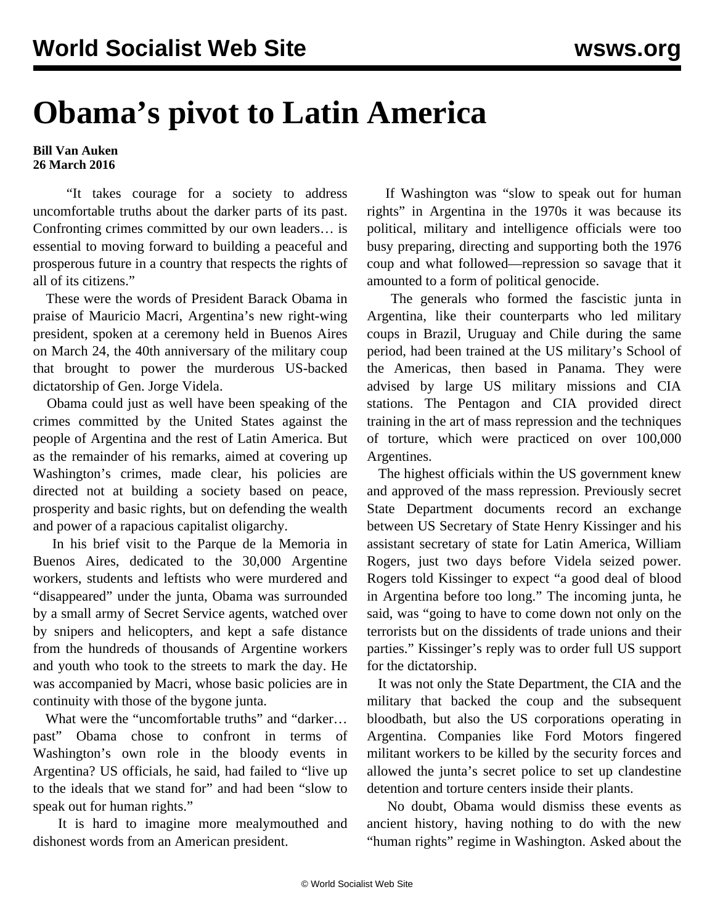## **Obama's pivot to Latin America**

## **Bill Van Auken 26 March 2016**

 "It takes courage for a society to address uncomfortable truths about the darker parts of its past. Confronting crimes committed by our own leaders… is essential to moving forward to building a peaceful and prosperous future in a country that respects the rights of all of its citizens."

 These were the words of President Barack Obama in praise of Mauricio Macri, Argentina's new right-wing president, spoken at a ceremony held in Buenos Aires on March 24, the 40th anniversary of the military coup that brought to power the murderous US-backed dictatorship of Gen. Jorge Videla.

 Obama could just as well have been speaking of the crimes committed by the United States against the people of Argentina and the rest of Latin America. But as the remainder of his remarks, aimed at covering up Washington's crimes, made clear, his policies are directed not at building a society based on peace, prosperity and basic rights, but on defending the wealth and power of a rapacious capitalist oligarchy.

 In his brief visit to the Parque de la Memoria in Buenos Aires, dedicated to the 30,000 Argentine workers, students and leftists who were murdered and "disappeared" under the junta, Obama was surrounded by a small army of Secret Service agents, watched over by snipers and helicopters, and kept a safe distance from the hundreds of thousands of Argentine workers and youth who took to the streets to mark the day. He was accompanied by Macri, whose basic policies are in continuity with those of the bygone junta.

What were the "uncomfortable truths" and "darker... past" Obama chose to confront in terms of Washington's own role in the bloody events in Argentina? US officials, he said, had failed to "live up to the ideals that we stand for" and had been "slow to speak out for human rights."

 It is hard to imagine more mealymouthed and dishonest words from an American president.

 If Washington was "slow to speak out for human rights" in Argentina in the 1970s it was because its political, military and intelligence officials were too busy preparing, directing and supporting both the 1976 coup and what followed—repression so savage that it amounted to a form of political genocide.

 The generals who formed the fascistic junta in Argentina, like their counterparts who led military coups in Brazil, Uruguay and Chile during the same period, had been trained at the US military's School of the Americas, then based in Panama. They were advised by large US military missions and CIA stations. The Pentagon and CIA provided direct training in the art of mass repression and the techniques of torture, which were practiced on over 100,000 Argentines.

 The highest officials within the US government knew and approved of the mass repression. Previously secret State Department documents record an exchange between US Secretary of State Henry Kissinger and his assistant secretary of state for Latin America, William Rogers, just two days before Videla seized power. Rogers told Kissinger to expect "a good deal of blood in Argentina before too long." The incoming junta, he said, was "going to have to come down not only on the terrorists but on the dissidents of trade unions and their parties." Kissinger's reply was to order full US support for the dictatorship.

 It was not only the State Department, the CIA and the military that backed the coup and the subsequent bloodbath, but also the US corporations operating in Argentina. Companies like Ford Motors fingered militant workers to be killed by the security forces and allowed the junta's secret police to set up clandestine detention and torture centers inside their plants.

 No doubt, Obama would dismiss these events as ancient history, having nothing to do with the new "human rights" regime in Washington. Asked about the